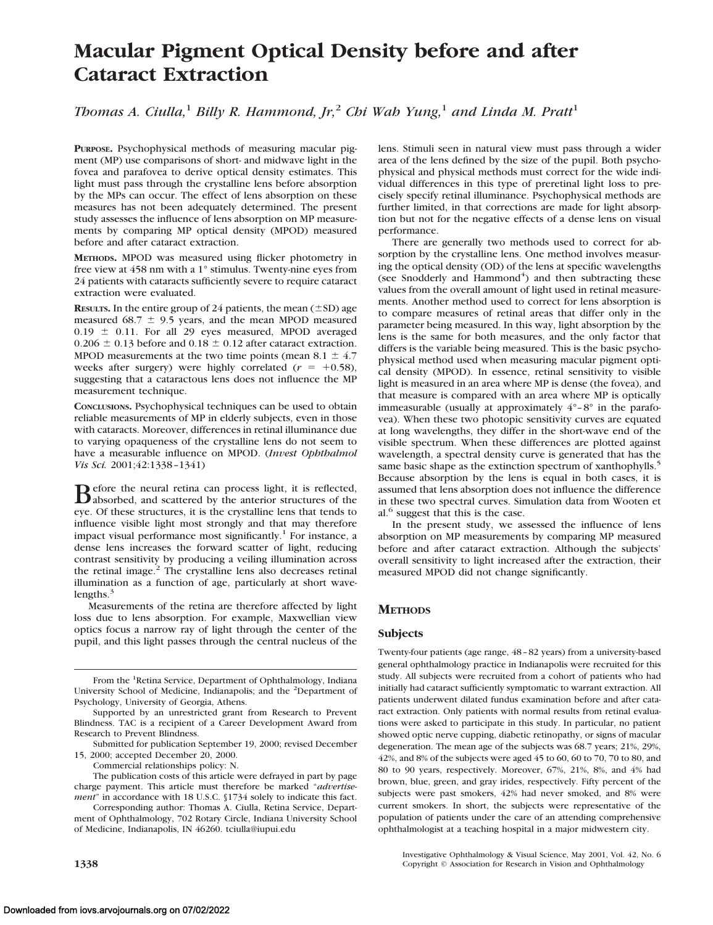# **Macular Pigment Optical Density before and after Cataract Extraction**

## *Thomas A. Ciulla,*<sup>1</sup> *Billy R. Hammond, Jr,*<sup>2</sup> *Chi Wah Yung,*<sup>1</sup> *and Linda M. Pratt*<sup>1</sup>

**PURPOSE.** Psychophysical methods of measuring macular pigment (MP) use comparisons of short- and midwave light in the fovea and parafovea to derive optical density estimates. This light must pass through the crystalline lens before absorption by the MPs can occur. The effect of lens absorption on these measures has not been adequately determined. The present study assesses the influence of lens absorption on MP measurements by comparing MP optical density (MPOD) measured before and after cataract extraction.

**METHODS.** MPOD was measured using flicker photometry in free view at 458 nm with a 1° stimulus. Twenty-nine eyes from 24 patients with cataracts sufficiently severe to require cataract extraction were evaluated.

**RESULTS.** In the entire group of 24 patients, the mean  $(\pm SD)$  age measured 68.7  $\pm$  9.5 years, and the mean MPOD measured  $0.19 \pm 0.11$ . For all 29 eyes measured, MPOD averaged  $0.206 \pm 0.13$  before and  $0.18 \pm 0.12$  after cataract extraction. MPOD measurements at the two time points (mean  $8.1 \pm 4.7$ weeks after surgery) were highly correlated  $(r = +0.58)$ , suggesting that a cataractous lens does not influence the MP measurement technique.

**CONCLUSIONS.** Psychophysical techniques can be used to obtain reliable measurements of MP in elderly subjects, even in those with cataracts. Moreover, differences in retinal illuminance due to varying opaqueness of the crystalline lens do not seem to have a measurable influence on MPOD. (*Invest Ophthalmol Vis Sci.* 2001;42:1338–1341)

Before the neural retina can process light, it is reflected,<br>absorbed, and scattered by the anterior structures of the<br>contribution is the contribution language of the tradition eye. Of these structures, it is the crystalline lens that tends to influence visible light most strongly and that may therefore impact visual performance most significantly.<sup>1</sup> For instance, a dense lens increases the forward scatter of light, reducing contrast sensitivity by producing a veiling illumination across the retinal image.<sup>2</sup> The crystalline lens also decreases retinal illumination as a function of age, particularly at short wavelengths. $3$ 

Measurements of the retina are therefore affected by light loss due to lens absorption. For example, Maxwellian view optics focus a narrow ray of light through the center of the pupil, and this light passes through the central nucleus of the

lens. Stimuli seen in natural view must pass through a wider area of the lens defined by the size of the pupil. Both psychophysical and physical methods must correct for the wide individual differences in this type of preretinal light loss to precisely specify retinal illuminance. Psychophysical methods are further limited, in that corrections are made for light absorption but not for the negative effects of a dense lens on visual performance.

There are generally two methods used to correct for absorption by the crystalline lens. One method involves measuring the optical density (OD) of the lens at specific wavelengths (see Snodderly and Hammond<sup>4</sup>) and then subtracting these values from the overall amount of light used in retinal measurements. Another method used to correct for lens absorption is to compare measures of retinal areas that differ only in the parameter being measured. In this way, light absorption by the lens is the same for both measures, and the only factor that differs is the variable being measured. This is the basic psychophysical method used when measuring macular pigment optical density (MPOD). In essence, retinal sensitivity to visible light is measured in an area where MP is dense (the fovea), and that measure is compared with an area where MP is optically immeasurable (usually at approximately  $4^{\circ}$ -8° in the parafovea). When these two photopic sensitivity curves are equated at long wavelengths, they differ in the short-wave end of the visible spectrum. When these differences are plotted against wavelength, a spectral density curve is generated that has the same basic shape as the extinction spectrum of xanthophylls.<sup>5</sup> Because absorption by the lens is equal in both cases, it is assumed that lens absorption does not influence the difference in these two spectral curves. Simulation data from Wooten et al.<sup>6</sup> suggest that this is the case.

In the present study, we assessed the influence of lens absorption on MP measurements by comparing MP measured before and after cataract extraction. Although the subjects' overall sensitivity to light increased after the extraction, their measured MPOD did not change significantly.

### **METHODS**

#### **Subjects**

Twenty-four patients (age range, 48–82 years) from a university-based general ophthalmology practice in Indianapolis were recruited for this study. All subjects were recruited from a cohort of patients who had initially had cataract sufficiently symptomatic to warrant extraction. All patients underwent dilated fundus examination before and after cataract extraction. Only patients with normal results from retinal evaluations were asked to participate in this study. In particular, no patient showed optic nerve cupping, diabetic retinopathy, or signs of macular degeneration. The mean age of the subjects was 68.7 years; 21%, 29%, 42%, and 8% of the subjects were aged 45 to 60, 60 to 70, 70 to 80, and 80 to 90 years, respectively. Moreover, 67%, 21%, 8%, and 4% had brown, blue, green, and gray irides, respectively. Fifty percent of the subjects were past smokers, 42% had never smoked, and 8% were current smokers. In short, the subjects were representative of the population of patients under the care of an attending comprehensive ophthalmologist at a teaching hospital in a major midwestern city.

Investigative Ophthalmology & Visual Science, May 2001, Vol. 42, No. 6 **1338 Copyright © Association for Research in Vision and Ophthalmology** 

From the <sup>1</sup>Retina Service, Department of Ophthalmology, Indiana University School of Medicine, Indianapolis; and the <sup>2</sup>Department of Psychology, University of Georgia, Athens.

Supported by an unrestricted grant from Research to Prevent Blindness. TAC is a recipient of a Career Development Award from Research to Prevent Blindness.

Submitted for publication September 19, 2000; revised December 15, 2000; accepted December 20, 2000.

Commercial relationships policy: N.

The publication costs of this article were defrayed in part by page charge payment. This article must therefore be marked "*advertisement*" in accordance with 18 U.S.C. §1734 solely to indicate this fact.

Corresponding author: Thomas A. Ciulla, Retina Service, Department of Ophthalmology, 702 Rotary Circle, Indiana University School of Medicine, Indianapolis, IN 46260. tciulla@iupui.edu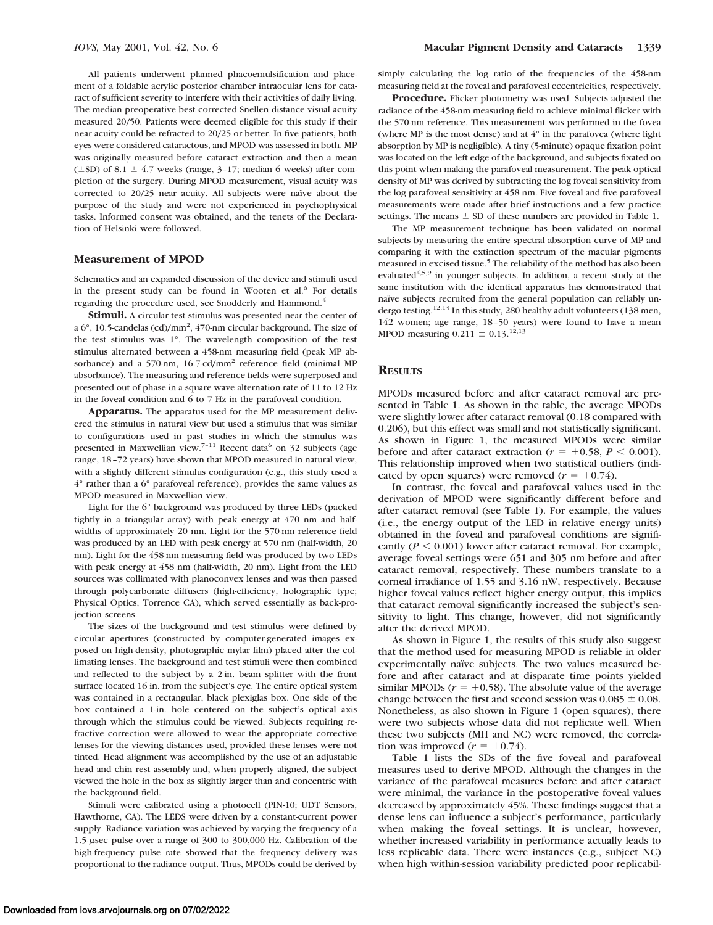All patients underwent planned phacoemulsification and placement of a foldable acrylic posterior chamber intraocular lens for cataract of sufficient severity to interfere with their activities of daily living. The median preoperative best corrected Snellen distance visual acuity measured 20/50. Patients were deemed eligible for this study if their near acuity could be refracted to 20/25 or better. In five patients, both eyes were considered cataractous, and MPOD was assessed in both. MP was originally measured before cataract extraction and then a mean ( $\pm$ SD) of 8.1  $\pm$  4.7 weeks (range, 3-17; median 6 weeks) after completion of the surgery. During MPOD measurement, visual acuity was corrected to 20/25 near acuity. All subjects were naïve about the purpose of the study and were not experienced in psychophysical tasks. Informed consent was obtained, and the tenets of the Declaration of Helsinki were followed.

#### **Measurement of MPOD**

Schematics and an expanded discussion of the device and stimuli used in the present study can be found in Wooten et al.<sup>6</sup> For details regarding the procedure used, see Snodderly and Hammond.<sup>4</sup>

**Stimuli.** A circular test stimulus was presented near the center of a  $6^{\circ}$ , 10.5-candelas (cd)/mm<sup>2</sup>, 470-nm circular background. The size of the test stimulus was 1°. The wavelength composition of the test stimulus alternated between a 458-nm measuring field (peak MP absorbance) and a 570-nm, 16.7-cd/mm<sup>2</sup> reference field (minimal MP absorbance). The measuring and reference fields were superposed and presented out of phase in a square wave alternation rate of 11 to 12 Hz in the foveal condition and 6 to 7 Hz in the parafoveal condition.

**Apparatus.** The apparatus used for the MP measurement delivered the stimulus in natural view but used a stimulus that was similar to configurations used in past studies in which the stimulus was presented in Maxwellian view.<sup>7-11</sup> Recent data<sup>6</sup> on 32 subjects (age range, 18–72 years) have shown that MPOD measured in natural view, with a slightly different stimulus configuration (e.g., this study used a 4° rather than a 6° parafoveal reference), provides the same values as MPOD measured in Maxwellian view.

Light for the 6° background was produced by three LEDs (packed tightly in a triangular array) with peak energy at 470 nm and halfwidths of approximately 20 nm. Light for the 570-nm reference field was produced by an LED with peak energy at 570 nm (half-width, 20 nm). Light for the 458-nm measuring field was produced by two LEDs with peak energy at 458 nm (half-width, 20 nm). Light from the LED sources was collimated with planoconvex lenses and was then passed through polycarbonate diffusers (high-efficiency, holographic type; Physical Optics, Torrence CA), which served essentially as back-projection screens.

The sizes of the background and test stimulus were defined by circular apertures (constructed by computer-generated images exposed on high-density, photographic mylar film) placed after the collimating lenses. The background and test stimuli were then combined and reflected to the subject by a 2-in. beam splitter with the front surface located 16 in. from the subject's eye. The entire optical system was contained in a rectangular, black plexiglas box. One side of the box contained a 1-in. hole centered on the subject's optical axis through which the stimulus could be viewed. Subjects requiring refractive correction were allowed to wear the appropriate corrective lenses for the viewing distances used, provided these lenses were not tinted. Head alignment was accomplished by the use of an adjustable head and chin rest assembly and, when properly aligned, the subject viewed the hole in the box as slightly larger than and concentric with the background field.

Stimuli were calibrated using a photocell (PIN-10; UDT Sensors, Hawthorne, CA). The LEDS were driven by a constant-current power supply. Radiance variation was achieved by varying the frequency of a 1.5-msec pulse over a range of 300 to 300,000 Hz. Calibration of the high-frequency pulse rate showed that the frequency delivery was proportional to the radiance output. Thus, MPODs could be derived by simply calculating the log ratio of the frequencies of the 458-nm measuring field at the foveal and parafoveal eccentricities, respectively.

**Procedure.** Flicker photometry was used. Subjects adjusted the radiance of the 458-nm measuring field to achieve minimal flicker with the 570-nm reference. This measurement was performed in the fovea (where MP is the most dense) and at 4° in the parafovea (where light absorption by MP is negligible). A tiny (5-minute) opaque fixation point was located on the left edge of the background, and subjects fixated on this point when making the parafoveal measurement. The peak optical density of MP was derived by subtracting the log foveal sensitivity from the log parafoveal sensitivity at 458 nm. Five foveal and five parafoveal measurements were made after brief instructions and a few practice settings. The means  $\pm$  SD of these numbers are provided in Table 1.

The MP measurement technique has been validated on normal subjects by measuring the entire spectral absorption curve of MP and comparing it with the extinction spectrum of the macular pigments measured in excised tissue.<sup>5</sup> The reliability of the method has also been evaluated<sup>4,5,9</sup> in younger subjects. In addition, a recent study at the same institution with the identical apparatus has demonstrated that naïve subjects recruited from the general population can reliably undergo testing.<sup>12,13</sup> In this study, 280 healthy adult volunteers (138 men, 142 women; age range, 18–50 years) were found to have a mean MPOD measuring  $0.211 \pm 0.13$ .<sup>12,13</sup>

#### **RESULTS**

MPODs measured before and after cataract removal are presented in Table 1. As shown in the table, the average MPODs were slightly lower after cataract removal (0.18 compared with 0.206), but this effect was small and not statistically significant. As shown in Figure 1, the measured MPODs were similar before and after cataract extraction ( $r = +0.58$ ,  $P < 0.001$ ). This relationship improved when two statistical outliers (indicated by open squares) were removed  $(r = +0.74)$ .

In contrast, the foveal and parafoveal values used in the derivation of MPOD were significantly different before and after cataract removal (see Table 1). For example, the values (i.e., the energy output of the LED in relative energy units) obtained in the foveal and parafoveal conditions are significantly  $(P \le 0.001)$  lower after cataract removal. For example, average foveal settings were 651 and 305 nm before and after cataract removal, respectively. These numbers translate to a corneal irradiance of 1.55 and 3.16 nW, respectively. Because higher foveal values reflect higher energy output, this implies that cataract removal significantly increased the subject's sensitivity to light. This change, however, did not significantly alter the derived MPOD.

As shown in Figure 1, the results of this study also suggest that the method used for measuring MPOD is reliable in older experimentally naïve subjects. The two values measured before and after cataract and at disparate time points yielded similar MPODs  $(r = +0.58)$ . The absolute value of the average change between the first and second session was  $0.085 \pm 0.08$ . Nonetheless, as also shown in Figure 1 (open squares), there were two subjects whose data did not replicate well. When these two subjects (MH and NC) were removed, the correlation was improved  $(r = +0.74)$ .

Table 1 lists the SDs of the five foveal and parafoveal measures used to derive MPOD. Although the changes in the variance of the parafoveal measures before and after cataract were minimal, the variance in the postoperative foveal values decreased by approximately 45%. These findings suggest that a dense lens can influence a subject's performance, particularly when making the foveal settings. It is unclear, however, whether increased variability in performance actually leads to less replicable data. There were instances (e.g., subject NC) when high within-session variability predicted poor replicabil-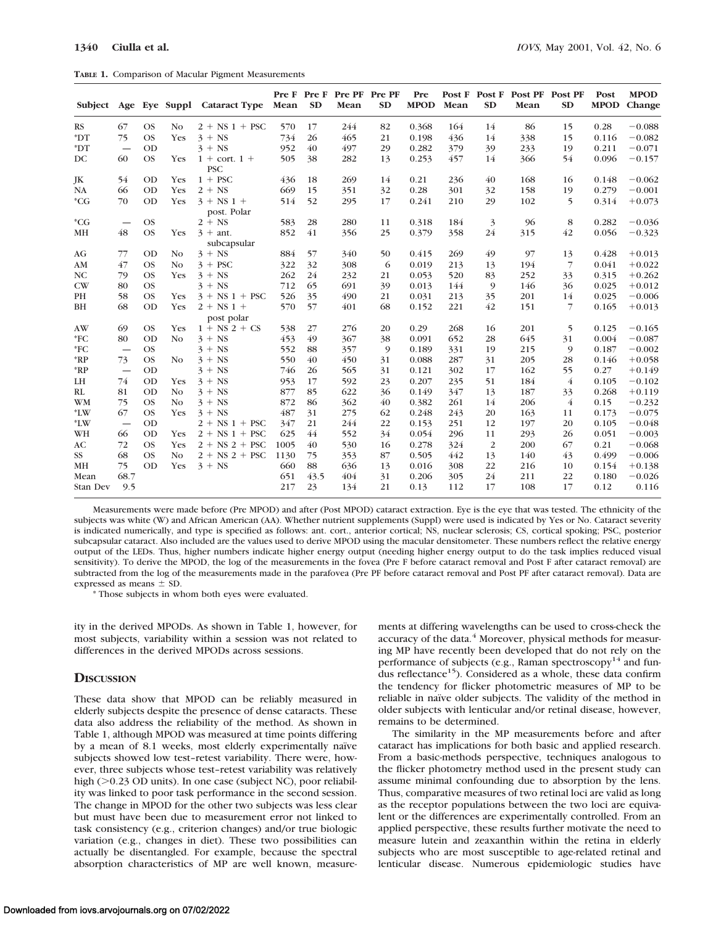|  |  |  |  | TABLE 1. Comparison of Macular Pigment Measurements |
|--|--|--|--|-----------------------------------------------------|
|--|--|--|--|-----------------------------------------------------|

|                |                                 |           |                | Subject Age Eye Suppl Cataract Type Mean |      | <b>SD</b> | Pre F Pre F Pre PF Pre PF<br>Mean | <b>SD</b> | Pre<br><b>MPOD</b> | Mean | <b>SD</b>      | Post F Post F Post PF Post PF<br>Mean | <b>SD</b>      | Post<br><b>MPOD</b> | <b>MPOD</b><br>Change |
|----------------|---------------------------------|-----------|----------------|------------------------------------------|------|-----------|-----------------------------------|-----------|--------------------|------|----------------|---------------------------------------|----------------|---------------------|-----------------------|
| <b>RS</b>      | 67                              | <b>OS</b> | No.            | $2 + NS 1 + PSC$                         | 570  | 17        | 244                               | 82        | 0.368              | 164  | 14             | 86                                    | 15             | 0.28                | $-0.088$              |
| $^*DT$         | 75                              | <b>OS</b> | Yes            | $3 + NS$                                 | 734  | 26        | 465                               | 21        | 0.198              | 436  | 14             | 338                                   | 15             | 0.116               | $-0.082$              |
| $^*DT$         | $\overbrace{\phantom{1232211}}$ | <b>OD</b> |                | $3 + NS$                                 | 952  | 40        | 497                               | 29        | 0.282              | 379  | 39             | 233                                   | 19             | 0.211               | $-0.071$              |
| DC             | 60                              | <b>OS</b> | <b>Yes</b>     | $1 + \text{cort.} 1 +$<br><b>PSC</b>     | 505  | 38        | 282                               | 13        | 0.253              | 457  | 14             | 366                                   | 54             | 0.096               | $-0.157$              |
| JK             | 54                              | <b>OD</b> | Yes            | $1 + PSC$                                | 436  | 18        | 269                               | 14        | 0.21               | 236  | 40             | 168                                   | 16             | 0.148               | $-0.062$              |
| NA             | 66                              | <b>OD</b> | <b>Yes</b>     | $2 + NS$                                 | 669  | 15        | 351                               | 32        | 0.28               | 301  | 32             | 158                                   | 19             | 0.279               | $-0.001$              |
| $^*CG$         | 70                              | <b>OD</b> | Yes            | $3 + NS 1 +$<br>post. Polar              | 514  | 52        | 295                               | 17        | 0.241              | 210  | 29             | 102                                   | 5              | 0.314               | $+0.073$              |
| $^*CG$         |                                 | <b>OS</b> |                | $2 + NS$                                 | 583  | 28        | 280                               | 11        | 0.318              | 184  | 3              | 96                                    | 8              | 0.282               | $-0.036$              |
| MH             | 48                              | <b>OS</b> | <b>Yes</b>     | $3 + ant$ .<br>subcapsular               | 852  | 41        | 356                               | 25        | 0.379              | 358  | 24             | 315                                   | 42             | 0.056               | $-0.323$              |
| AG             | 77                              | OD        | N <sub>o</sub> | $3 + NS$                                 | 884  | 57        | 340                               | 50        | 0.415              | 269  | 49             | 97                                    | 13             | 0.428               | $+0.013$              |
| AM             | 47                              | <b>OS</b> | N <sub>O</sub> | $3 + PSC$                                | 322  | 32        | 308                               | 6         | 0.019              | 213  | 13             | 194                                   | $\overline{7}$ | 0.041               | $+0.022$              |
| N <sub>C</sub> | 79                              | <b>OS</b> | <b>Yes</b>     | $3 + NS$                                 | 262  | 24        | 232                               | 21        | 0.053              | 520  | 83             | 252                                   | 33             | 0.315               | $+0.262$              |
| CW             | 80                              | <b>OS</b> |                | $3 + NS$                                 | 712  | 65        | 691                               | 39        | 0.013              | 144  | 9              | 146                                   | 36             | 0.025               | $+0.012$              |
| PH             | 58                              | <b>OS</b> | <b>Yes</b>     | $3 + NS 1 + PSC$                         | 526  | 35        | 490                               | 21        | 0.031              | 213  | 35             | 201                                   | 14             | 0.025               | $-0.006$              |
| BH             | 68                              | <b>OD</b> | Yes            | $2 + NS 1 +$                             | 570  | 57        | 401                               | 68        | 0.152              | 221  | 42             | 151                                   | $\overline{7}$ | 0.165               | $+0.013$              |
|                |                                 |           |                | post polar                               |      |           |                                   |           |                    |      |                |                                       |                |                     |                       |
| AW             | 69                              | <b>OS</b> | Yes            | $1 + NS 2 + CS$                          | 538  | 27        | 276                               | 20        | 0.29               | 268  | 16             | 201                                   | 5              | 0.125               | $-0.165$              |
| $*$ FC         | 80                              | <b>OD</b> | N <sub>O</sub> | $3 + NS$                                 | 453  | 49        | 367                               | 38        | 0.091              | 652  | 28             | 645                                   | 31             | 0.004               | $-0.087$              |
| $*FC$          |                                 | <b>OS</b> |                | $3 + NS$                                 | 552  | 88        | 357                               | 9         | 0.189              | 331  | 19             | 215                                   | 9              | 0.187               | $-0.002$              |
| $*RP$          | 73                              | <b>OS</b> | N <sub>O</sub> | $3 + NS$                                 | 550  | 40        | 450                               | 31        | 0.088              | 287  | 31             | 205                                   | 28             | 0.146               | $+0.058$              |
| $*RP$          |                                 | <b>OD</b> |                | $3 + NS$                                 | 746  | 26        | 565                               | 31        | 0.121              | 302  | 17             | 162                                   | 55             | 0.27                | $+0.149$              |
| LH             | 74                              | OD        | Yes            | $3 + NS$                                 | 953  | 17        | 592                               | 23        | 0.207              | 235  | 51             | 184                                   | $\overline{4}$ | 0.105               | $-0.102$              |
| RL             | 81                              | OD        | N <sub>o</sub> | $3 + NS$                                 | 877  | 85        | 622                               | 36        | 0.149              | 347  | 13             | 187                                   | 33             | 0.268               | $+0.119$              |
| <b>WM</b>      | 75                              | <b>OS</b> | N <sub>O</sub> | $3 + NS$                                 | 872  | 86        | 362                               | 40        | 0.382              | 261  | 14             | 206                                   | $\overline{4}$ | 0.15                | $-0.232$              |
| $*LW$          | 67                              | <b>OS</b> | <b>Yes</b>     | $3 + NS$                                 | 487  | 31        | 275                               | 62        | 0.248              | 243  | 20             | 163                                   | 11             | 0.173               | $-0.075$              |
| $*LW$          |                                 | <b>OD</b> |                | $2 + NS 1 + PSC$                         | 347  | 21        | 244                               | 22        | 0.153              | 251  | 12             | 197                                   | 20             | 0.105               | $-0.048$              |
| WH             | 66                              | OD        | Yes            | $2 + NS 1 + PSC$                         | 625  | 44        | 552                               | 34        | 0.054              | 296  | 11             | 293                                   | 26             | 0.051               | $-0.003$              |
| AC             | 72                              | <b>OS</b> | <b>Yes</b>     | $2 + NS 2 + PSC$                         | 1005 | 40        | 530                               | 16        | 0.278              | 324  | $\overline{2}$ | 200                                   | 67             | 0.21                | $-0.068$              |
| SS             | 68                              | <b>OS</b> | N <sub>O</sub> | $2 + NS 2 + PSC$                         | 1130 | 75        | 353                               | 87        | 0.505              | 442  | 13             | 140                                   | 43             | 0.499               | $-0.006$              |
| MH             | 75                              | OD        | Yes            | $3 + NS$                                 | 660  | 88        | 636                               | 13        | 0.016              | 308  | 22             | 216                                   | 10             | 0.154               | $+0.138$              |
| Mean           | 68.7                            |           |                |                                          | 651  | 43.5      | 404                               | 31        | 0.206              | 305  | 24             | 211                                   | 22             | 0.180               | $-0.026$              |
| Stan Dev       | 9.5                             |           |                |                                          | 217  | 23        | 134                               | 21        | 0.13               | 112  | 17             | 108                                   | 17             | 0.12                | 0.116                 |

Measurements were made before (Pre MPOD) and after (Post MPOD) cataract extraction. Eye is the eye that was tested. The ethnicity of the subjects was white (W) and African American (AA). Whether nutrient supplements (Suppl) were used is indicated by Yes or No. Cataract severity is indicated numerically, and type is specified as follows: ant. cort., anterior cortical; NS, nuclear sclerosis; CS, cortical spoking; PSC, posterior subcapsular cataract. Also included are the values used to derive MPOD using the macular densitometer. These numbers reflect the relative energy output of the LEDs. Thus, higher numbers indicate higher energy output (needing higher energy output to do the task implies reduced visual sensitivity). To derive the MPOD, the log of the measurements in the fovea (Pre F before cataract removal and Post F after cataract removal) are subtracted from the log of the measurements made in the parafovea (Pre PF before cataract removal and Post PF after cataract removal). Data are expressed as means  $\pm$  SD.

\* Those subjects in whom both eyes were evaluated.

ity in the derived MPODs. As shown in Table 1, however, for most subjects, variability within a session was not related to differences in the derived MPODs across sessions.

#### **DISCUSSION**

These data show that MPOD can be reliably measured in elderly subjects despite the presence of dense cataracts. These data also address the reliability of the method. As shown in Table 1, although MPOD was measured at time points differing by a mean of 8.1 weeks, most elderly experimentally naïve subjects showed low test–retest variability. There were, however, three subjects whose test–retest variability was relatively high (>0.23 OD units). In one case (subject NC), poor reliability was linked to poor task performance in the second session. The change in MPOD for the other two subjects was less clear but must have been due to measurement error not linked to task consistency (e.g., criterion changes) and/or true biologic variation (e.g., changes in diet). These two possibilities can actually be disentangled. For example, because the spectral absorption characteristics of MP are well known, measurements at differing wavelengths can be used to cross-check the accuracy of the data.<sup>4</sup> Moreover, physical methods for measuring MP have recently been developed that do not rely on the performance of subjects (e.g., Raman spectroscopy<sup>14</sup> and fundus reflectance<sup>15</sup>). Considered as a whole, these data confirm the tendency for flicker photometric measures of MP to be reliable in naïve older subjects. The validity of the method in older subjects with lenticular and/or retinal disease, however, remains to be determined.

The similarity in the MP measurements before and after cataract has implications for both basic and applied research. From a basic-methods perspective, techniques analogous to the flicker photometry method used in the present study can assume minimal confounding due to absorption by the lens. Thus, comparative measures of two retinal loci are valid as long as the receptor populations between the two loci are equivalent or the differences are experimentally controlled. From an applied perspective, these results further motivate the need to measure lutein and zeaxanthin within the retina in elderly subjects who are most susceptible to age-related retinal and lenticular disease. Numerous epidemiologic studies have